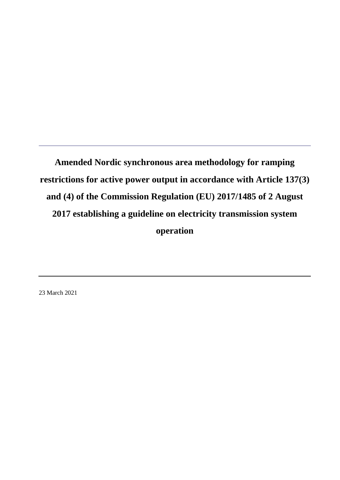23 March 2021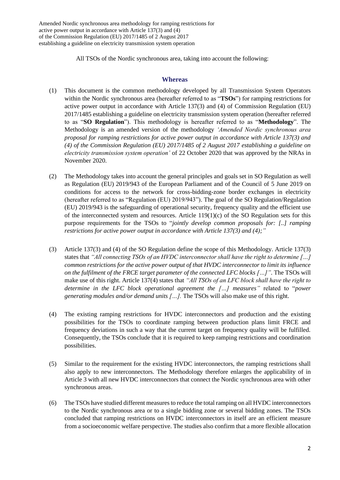All TSOs of the Nordic synchronous area, taking into account the following:

#### **Whereas**

- (1) This document is the common methodology developed by all Transmission System Operators within the Nordic synchronous area (hereafter referred to as "**TSOs**") for ramping restrictions for active power output in accordance with Article 137(3) and (4) of Commission Regulation (EU) 2017/1485 establishing a guideline on electricity transmission system operation (hereafter referred to as "**SO Regulation**"). This methodology is hereafter referred to as "**Methodology**". The Methodology is an amended version of the methodology *'Amended Nordic synchronous area proposal for ramping restrictions for active power output in accordance with Article 137(3) and (4) of the Commission Regulation (EU) 2017/1485 of 2 August 2017 establishing a guideline on electricity transmission system operation'* of 22 October 2020 that was approved by the NRAs in November 2020.
- (2) The Methodology takes into account the general principles and goals set in SO Regulation as well as Regulation (EU) 2019/943 of the European Parliament and of the Council of 5 June 2019 on conditions for access to the network for cross-bidding-zone border exchanges in electricity (hereafter referred to as "Regulation (EU) 2019/943"). The goal of the SO Regulation/Regulation (EU) 2019/943 is the safeguarding of operational security, frequency quality and the efficient use of the interconnected system and resources. Article  $119(1)(c)$  of the SO Regulation sets for this purpose requirements for the TSOs to "*jointly develop common proposals for: [..] ramping restrictions for active power output in accordance with Article 137(3) and (4);"*
- (3) Article 137(3) and (4) of the SO Regulation define the scope of this Methodology. Article 137(3) states that *"All connecting TSOs of an HVDC interconnector shall have the right to determine […] common restrictions for the active power output of that HVDC interconnector to limit its influence on the fulfilment of the FRCE target parameter of the connected LFC blocks […]"*. The TSOs will make use of this right. Article 137(4) states that *"All TSOs of an LFC block shall have the right to determine in the LFC block operational agreement the […] measures"* related to "*power generating modules and/or demand units […].* The TSOs will also make use of this right.
- (4) The existing ramping restrictions for HVDC interconnectors and production and the existing possibilities for the TSOs to coordinate ramping between production plans limit FRCE and frequency deviations in such a way that the current target on frequency quality will be fulfilled. Consequently, the TSOs conclude that it is required to keep ramping restrictions and coordination possibilities.
- (5) Similar to the requirement for the existing HVDC interconnectors, the ramping restrictions shall also apply to new interconnectors. The Methodology therefore enlarges the applicability of in Article 3 with all new HVDC interconnectors that connect the Nordic synchronous area with other synchronous areas.
- (6) The TSOs have studied different measuresto reduce the total ramping on all HVDC interconnectors to the Nordic synchronous area or to a single bidding zone or several bidding zones. The TSOs concluded that ramping restrictions on HVDC interconnectors in itself are an efficient measure from a socioeconomic welfare perspective. The studies also confirm that a more flexible allocation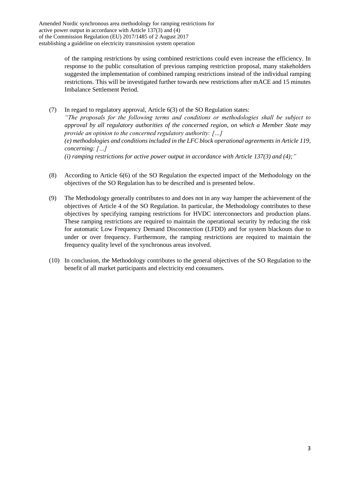> of the ramping restrictions by using combined restrictions could even increase the efficiency. In response to the public consultation of previous ramping restriction proposal, many stakeholders suggested the implementation of combined ramping restrictions instead of the individual ramping restrictions. This will be investigated further towards new restrictions after mACE and 15 minutes Imbalance Settlement Period.

(7) In regard to regulatory approval, Article 6(3) of the SO Regulation states: *"The proposals for the following terms and conditions or methodologies shall be subject to approval by all regulatory authorities of the concerned region, on which a Member State may provide an opinion to the concerned regulatory authority: […] (e) methodologies and conditions included in the LFC block operational agreements in Article 119, concerning: […] (i) ramping restrictions for active power output in accordance with Article 137(3) and (4);"*

- (8) According to Article 6(6) of the SO Regulation the expected impact of the Methodology on the objectives of the SO Regulation has to be described and is presented below.
- (9) The Methodology generally contributes to and does not in any way hamper the achievement of the objectives of Article 4 of the SO Regulation. In particular, the Methodology contributes to these objectives by specifying ramping restrictions for HVDC interconnectors and production plans. These ramping restrictions are required to maintain the operational security by reducing the risk for automatic Low Frequency Demand Disconnection (LFDD) and for system blackouts due to under or over frequency. Furthermore, the ramping restrictions are required to maintain the frequency quality level of the synchronous areas involved.
- (10) In conclusion, the Methodology contributes to the general objectives of the SO Regulation to the benefit of all market participants and electricity end consumers.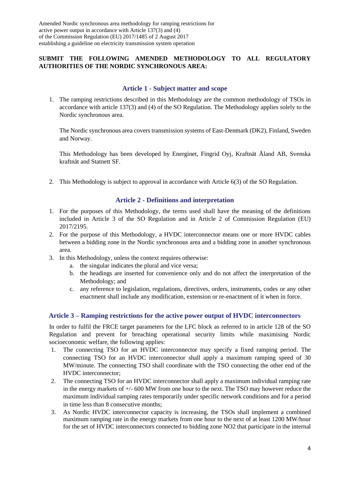# **SUBMIT THE FOLLOWING AMENDED METHODOLOGY TO ALL REGULATORY AUTHORITIES OF THE NORDIC SYNCHRONOUS AREA:**

## **Article 1 - Subject matter and scope**

1. The ramping restrictions described in this Methodology are the common methodology of TSOs in accordance with article 137(3) and (4) of the SO Regulation. The Methodology applies solely to the Nordic synchronous area.

The Nordic synchronous area covers transmission systems of East-Denmark (DK2), Finland, Sweden and Norway.

This Methodology has been developed by Energinet, Fingrid Oyj, Kraftnät Åland AB, Svenska kraftnät and Statnett SF.

2. This Methodology is subject to approval in accordance with Article 6(3) of the SO Regulation.

#### **Article 2 - Definitions and interpretation**

- 1. For the purposes of this Methodology, the terms used shall have the meaning of the definitions included in Article 3 of the SO Regulation and in Article 2 of Commission Regulation (EU) 2017/2195.
- 2. For the purpose of this Methodology, a HVDC interconnector means one or more HVDC cables between a bidding zone in the Nordic synchronous area and a bidding zone in another synchronous area.
- 3. In this Methodology, unless the context requires otherwise:
	- a. the singular indicates the plural and vice versa;
	- b. the headings are inserted for convenience only and do not affect the interpretation of the Methodology; and
	- c. any reference to legislation, regulations, directives, orders, instruments, codes or any other enactment shall include any modification, extension or re-enactment of it when in force.

## **Article 3 – Ramping restrictions for the active power output of HVDC interconnectors**

In order to fulfil the FRCE target parameters for the LFC block as referred to in article 128 of the SO Regulation and prevent for breaching operational security limits while maximising Nordic socioeconomic welfare, the following applies:

- <span id="page-3-0"></span>1. The connecting TSO for an HVDC interconnector may specify a fixed ramping period. The connecting TSO for an HVDC interconnector shall apply a maximum ramping speed of 30 MW/minute. The connecting TSO shall coordinate with the TSO connecting the other end of the HVDC interconnector;
- <span id="page-3-1"></span>2. The connecting TSO for an HVDC interconnector shall apply a maximum individual ramping rate in the energy markets of +/- 600 MW from one hour to the next. The TSO may however reduce the maximum individual ramping rates temporarily under specific network conditions and for a period in time less than 8 consecutive months;
- <span id="page-3-2"></span>3. As Nordic HVDC interconnector capacity is increasing, the TSOs shall implement a combined maximum ramping rate in the energy markets from one hour to the next of at least 1200 MW/hour for the set of HVDC interconnectors connected to bidding zone NO2 that participate in the internal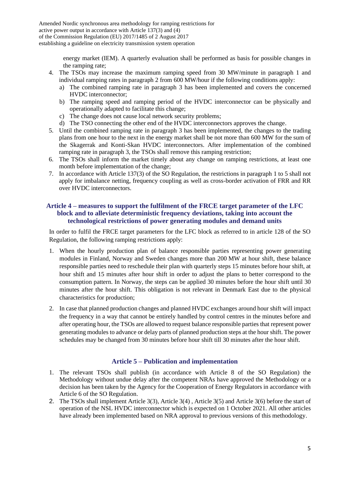> energy market (IEM). A quarterly evaluation shall be performed as basis for possible changes in the ramping rate;

- <span id="page-4-1"></span>4. The TSOs may increase the maximum ramping speed from 30 MW/minute in paragraph [1](#page-3-0) and individual ramping rates in paragraph [2](#page-3-1) from 600 MW/hour if the following conditions apply:
	- a) The combined ramping rate in paragraph [3](#page-3-2) has been implemented and covers the concerned HVDC interconnector;
	- b) The ramping speed and ramping period of the HVDC interconnector can be physically and operationally adapted to facilitate this change;
	- c) The change does not cause local network security problems;
	- d) The TSO connecting the other end of the HVDC interconnectors approves the change.
- <span id="page-4-0"></span>5. Until the combined ramping rate in paragraph [3](#page-3-2) has been implemented, the changes to the trading plans from one hour to the next in the energy market shall be not more than 600 MW for the sum of the Skagerrak and Konti-Skan HVDC interconnectors. After implementation of the combined ramping rate in paragraph [3,](#page-3-2) the TSOs shall remove this ramping restriction;
- <span id="page-4-2"></span>6. The TSOs shall inform the market timely about any change on ramping restrictions, at least one month before implementation of the change;
- 7. In accordance with Article 137(3) of the SO Regulation, the restrictions in paragraph [1](#page-3-0) to [5](#page-4-0) shall not apply for imbalance netting, frequency coupling as well as cross-border activation of FRR and RR over HVDC interconnectors.

#### **Article 4 – measures to support the fulfilment of the FRCE target parameter of the LFC block and to alleviate deterministic frequency deviations, taking into account the technological restrictions of power generating modules and demand units**

In order to fulfil the FRCE target parameters for the LFC block as referred to in article 128 of the SO Regulation, the following ramping restrictions apply:

- 1. When the hourly production plan of balance responsible parties representing power generating modules in Finland, Norway and Sweden changes more than 200 MW at hour shift, these balance responsible parties need to reschedule their plan with quarterly steps 15 minutes before hour shift, at hour shift and 15 minutes after hour shift in order to adjust the plans to better correspond to the consumption pattern. In Norway, the steps can be applied 30 minutes before the hour shift until 30 minutes after the hour shift. This obligation is not relevant in Denmark East due to the physical characteristics for production;
- 2. In case that planned production changes and planned HVDC exchanges around hour shift will impact the frequency in a way that cannot be entirely handled by control centres in the minutes before and after operating hour, the TSOs are allowed to request balance responsible parties that represent power generating modules to advance or delay parts of planned production steps at the hour shift. The power schedules may be changed from 30 minutes before hour shift till 30 minutes after the hour shift.

## **Article 5 – Publication and implementation**

- 1. The relevant TSOs shall publish (in accordance with Article 8 of the SO Regulation) the Methodology without undue delay after the competent NRAs have approved the Methodology or a decision has been taken by the Agency for the Cooperation of Energy Regulators in accordance with Article 6 of the SO Regulation.
- 2. The TSOs shall implement Article 3[\(3\)](#page-3-2), Article 3[\(4\)](#page-4-1) , Article 3[\(5\)](#page-4-0) and Article 3[\(6\)](#page-4-2) before the start of operation of the NSL HVDC interconnector which is expected on 1 October 2021. All other articles have already been implemented based on NRA approval to previous versions of this methodology.